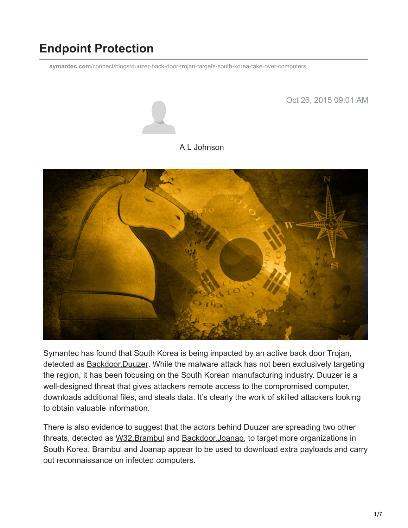# **Endpoint Protection**

**symantec.com**[/connect/blogs/duuzer-back-door-trojan-targets-south-korea-take-over-computers](https://www.symantec.com/connect/blogs/duuzer-back-door-trojan-targets-south-korea-take-over-computers)

Oct 26, 2015 09:01 AM



#### [A L Johnson](https://community.broadcom.com/symantecenterprise/network/members/profile?UserKey=cbd453fd-3ce1-4c47-af77-d746256f9bc4)



Symantec has found that South Korea is being impacted by an active back door Trojan, detected as **Backdoor.Duuzer**. While the malware attack has not been exclusively targeting the region, it has been focusing on the South Korean manufacturing industry. Duuzer is a well-designed threat that gives attackers remote access to the compromised computer, downloads additional files, and steals data. It's clearly the work of skilled attackers looking to obtain valuable information.

There is also evidence to suggest that the actors behind Duuzer are spreading two other threats, detected as [W32.Brambul](https://www.symantec.com/security_response/writeup.jsp?docid=2015-051114-3802-99) and [Backdoor.Joanap,](https://www.symantec.com/security_response/writeup.jsp?docid=2015-092507-0410-99) to target more organizations in South Korea. Brambul and Joanap appear to be used to download extra payloads and carry out reconnaissance on infected computers.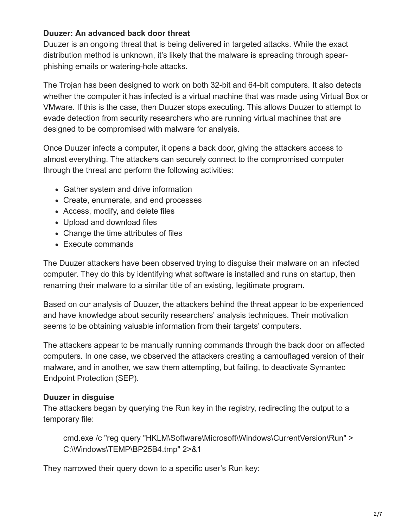#### **Duuzer: An advanced back door threat**

Duuzer is an ongoing threat that is being delivered in targeted attacks. While the exact distribution method is unknown, it's likely that the malware is spreading through spearphishing emails or watering-hole attacks.

The Trojan has been designed to work on both 32-bit and 64-bit computers. It also detects whether the computer it has infected is a virtual machine that was made using Virtual Box or VMware. If this is the case, then Duuzer stops executing. This allows Duuzer to attempt to evade detection from security researchers who are running virtual machines that are designed to be compromised with malware for analysis.

Once Duuzer infects a computer, it opens a back door, giving the attackers access to almost everything. The attackers can securely connect to the compromised computer through the threat and perform the following activities:

- Gather system and drive information
- Create, enumerate, and end processes
- Access, modify, and delete files
- Upload and download files
- Change the time attributes of files
- Execute commands

The Duuzer attackers have been observed trying to disguise their malware on an infected computer. They do this by identifying what software is installed and runs on startup, then renaming their malware to a similar title of an existing, legitimate program.

Based on our analysis of Duuzer, the attackers behind the threat appear to be experienced and have knowledge about security researchers' analysis techniques. Their motivation seems to be obtaining valuable information from their targets' computers.

The attackers appear to be manually running commands through the back door on affected computers. In one case, we observed the attackers creating a camouflaged version of their malware, and in another, we saw them attempting, but failing, to deactivate Symantec Endpoint Protection (SEP).

## **Duuzer in disguise**

The attackers began by querying the Run key in the registry, redirecting the output to a temporary file:

cmd.exe /c "reg query "HKLM\Software\Microsoft\Windows\CurrentVersion\Run" > C:\Windows\TEMP\BP25B4.tmp" 2>&1

They narrowed their query down to a specific user's Run key: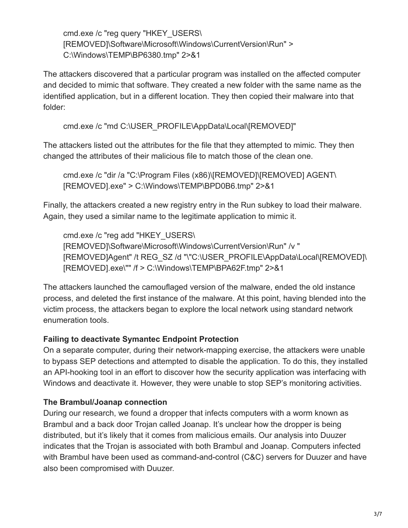cmd.exe /c "reg query "HKEY\_USERS\ [REMOVED]\Software\Microsoft\Windows\CurrentVersion\Run" > C:\Windows\TEMP\BP6380.tmp" 2>&1

The attackers discovered that a particular program was installed on the affected computer and decided to mimic that software. They created a new folder with the same name as the identified application, but in a different location. They then copied their malware into that folder:

cmd.exe /c "md C:\USER\_PROFILE\AppData\Local\[REMOVED]"

The attackers listed out the attributes for the file that they attempted to mimic. They then changed the attributes of their malicious file to match those of the clean one.

cmd.exe /c "dir /a "C:\Program Files (x86)\[REMOVED]\[REMOVED] AGENT\ [REMOVED].exe" > C:\Windows\TEMP\BPD0B6.tmp" 2>&1

Finally, the attackers created a new registry entry in the Run subkey to load their malware. Again, they used a similar name to the legitimate application to mimic it.

cmd.exe /c "reg add "HKEY\_USERS\ [REMOVED]\Software\Microsoft\Windows\CurrentVersion\Run" /v " [REMOVED]Agent" /t REG\_SZ /d "\"C:\USER\_PROFILE\AppData\Local\[REMOVED]\ [REMOVED].exe\"" /f > C:\Windows\TEMP\BPA62F.tmp" 2>&1

The attackers launched the camouflaged version of the malware, ended the old instance process, and deleted the first instance of the malware. At this point, having blended into the victim process, the attackers began to explore the local network using standard network enumeration tools.

## **Failing to deactivate Symantec Endpoint Protection**

On a separate computer, during their network-mapping exercise, the attackers were unable to bypass SEP detections and attempted to disable the application. To do this, they installed an API-hooking tool in an effort to discover how the security application was interfacing with Windows and deactivate it. However, they were unable to stop SEP's monitoring activities.

# **The Brambul/Joanap connection**

During our research, we found a dropper that infects computers with a worm known as Brambul and a back door Trojan called Joanap. It's unclear how the dropper is being distributed, but it's likely that it comes from malicious emails. Our analysis into Duuzer indicates that the Trojan is associated with both Brambul and Joanap. Computers infected with Brambul have been used as command-and-control (C&C) servers for Duuzer and have also been compromised with Duuzer.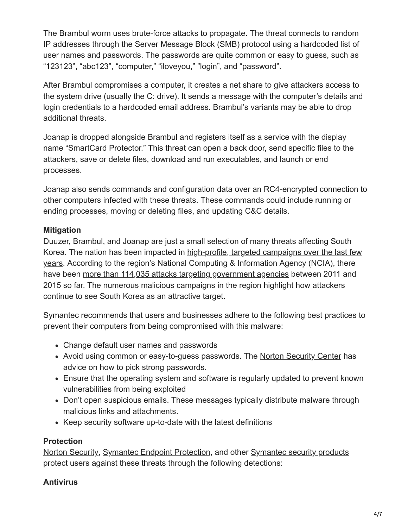The Brambul worm uses brute-force attacks to propagate. The threat connects to random IP addresses through the Server Message Block (SMB) protocol using a hardcoded list of user names and passwords. The passwords are quite common or easy to guess, such as "123123", "abc123", "computer," "iloveyou," "login", and "password".

After Brambul compromises a computer, it creates a net share to give attackers access to the system drive (usually the C: drive). It sends a message with the computer's details and login credentials to a hardcoded email address. Brambul's variants may be able to drop additional threats.

Joanap is dropped alongside Brambul and registers itself as a service with the display name "SmartCard Protector." This threat can open a back door, send specific files to the attackers, save or delete files, download and run executables, and launch or end processes.

Joanap also sends commands and configuration data over an RC4-encrypted connection to other computers infected with these threats. These commands could include running or ending processes, moving or deleting files, and updating C&C details.

## **Mitigation**

Duuzer, Brambul, and Joanap are just a small selection of many threats affecting South [Korea. The nation has been impacted in high-profile, targeted campaigns over the last few](https://community.broadcom.com/symantecenterprise/viewdocument?DocumentKey=f7186c7c-8a82-4a36-b6a1-15c5b80969ef&CommunityKey=1ecf5f55-9545-44d6-b0f4-4e4a7f5f5e68&tab=librarydocuments) years. According to the region's National Computing & Information Agency (NCIA), there have been [more than 114,035 attacks targeting government agencies](http://www.zdnet.com/article/south-korea-suffers-110000-cyberattacks-in-five-years/) between 2011 and 2015 so far. The numerous malicious campaigns in the region highlight how attackers continue to see South Korea as an attractive target.

Symantec recommends that users and businesses adhere to the following best practices to prevent their computers from being compromised with this malware:

- Change default user names and passwords
- Avoid using common or easy-to-guess passwords. The [Norton Security Center](http://us.norton.com/dos-donts-passwords/article) has advice on how to pick strong passwords.
- Ensure that the operating system and software is regularly updated to prevent known vulnerabilities from being exploited
- Don't open suspicious emails. These messages typically distribute malware through malicious links and attachments.
- Keep security software up-to-date with the latest definitions

## **Protection**

[Norton Security,](https://us.norton.com/) [Symantec Endpoint Protection,](https://www.symantec.com/endpoint-protection/) and other [Symantec security products](http://www.symantec.com/products-solutions/) protect users against these threats through the following detections:

## **Antivirus**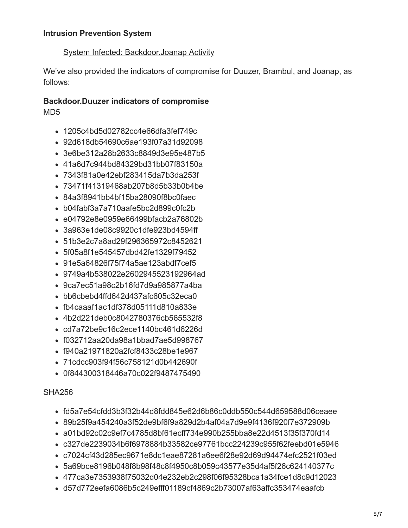#### [System Infected: Backdoor.Joanap Activity](https://www.symantec.com/security_response/attacksignatures/detail.jsp?asid=28867)

We've also provided the indicators of compromise for Duuzer, Brambul, and Joanap, as follows:

#### **Backdoor.Duuzer indicators of compromise** MD5

- 1205c4bd5d02782cc4e66dfa3fef749c
- 92d618db54690c6ae193f07a31d92098
- 3e6be312a28b2633c8849d3e95e487b5
- 41a6d7c944bd84329bd31bb07f83150a
- 7343f81a0e42ebf283415da7b3da253f
- 73471f41319468ab207b8d5b33b0b4be
- 84a3f8941bb4bf15ba28090f8bc0faec
- b04fabf3a7a710aafe5bc2d899c0fc2b
- e04792e8e0959e66499bfacb2a76802b
- 3a963e1de08c9920c1dfe923bd4594ff
- 51b3e2c7a8ad29f296365972c8452621
- 5f05a8f1e545457dbd42fe1329f79452
- 91e5a64826f75f74a5ae123abdf7cef5
- 9749a4b538022e2602945523192964ad
- 9ca7ec51a98c2b16fd7d9a985877a4ba
- bb6cbebd4ffd642d437afc605c32eca0
- fb4caaaf1ac1df378d05111d810a833e
- 4b2d221deb0c8042780376cb565532f8
- cd7a72be9c16c2ece1140bc461d6226d
- f032712aa20da98a1bbad7ae5d998767
- f940a21971820a2fcf8433c28be1e967
- 71cdcc903f94f56c758121d0b442690f
- 0f844300318446a70c022f9487475490

#### SHA256

- fd5a7e54cfdd3b3f32b44d8fdd845e62d6b86c0ddb550c544d659588d06ceaee
- 89b25f9a454240a3f52de9bf6f9a829d2b4af04a7d9e9f4136f920f7e372909b
- a01bd92c02c9ef7c4785d8bf61ecff734e990b255bba8e22d4513f35f370fd14
- c327de2239034b6f6978884b33582ce97761bcc224239c955f62feebd01e5946
- c7024cf43d285ec9671e8dc1eae87281a6ee6f28e92d69d94474efc2521f03ed
- 5a69bce8196b048f8b98f48c8f4950c8b059c43577e35d4af5f26c624140377c
- 477ca3e7353938f75032d04e232eb2c298f06f95328bca1a34fce1d8c9d12023
- d57d772eefa6086b5c249efff01189cf4869c2b73007af63affc353474eaafcb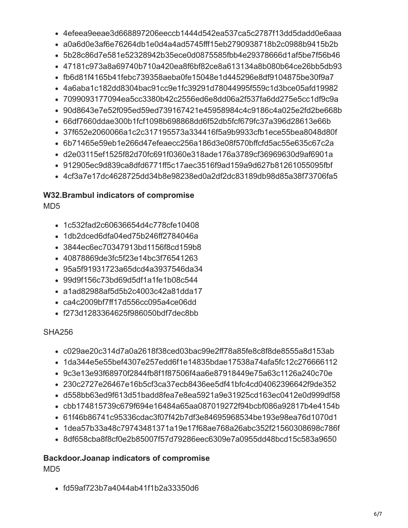- 4efeea9eeae3d668897206eeccb1444d542ea537ca5c2787f13dd5dadd0e6aaa
- a0a6d0e3af6e76264db1e0d4a4ad5745fff15eb2790938718b2c0988b9415b2b
- 5b28c86d7e581e52328942b35ece0d0875585fbb4e29378666d1af5be7f56b46
- 47181c973a8a69740b710a420ea8f6bf82ce8a613134a8b080b64ce26bb5db93
- fb6d81f4165b41febc739358aeba0fe15048e1d445296e8df9104875be30f9a7
- 4a6aba1c182dd8304bac91cc9e1fc39291d78044995f559c1d3bce05afd19982
- 7099093177094ea5cc3380b42c2556ed6e8dd06a2f537fa6dd275e5cc1df9c9a
- 90d8643e7e52f095ed59ed739167421e45958984c4c9186c4a025e2fd2be668b
- 66df7660ddae300b1fcf1098b698868dd6f52db5fcf679fc37a396d28613e66b
- 37f652e2060066a1c2c317195573a334416f5a9b9933cfb1ece55bea8048d80f
- 6b71465e59eb1e266d47efeaecc256a186d3e08f570bffcfd5ac55e635c67c2a
- d2e03115ef1525f82d70fc691f0360e318ade176a3789cf36969630d9af6901a
- 912905ec9d839ca8dfd6771ff5c17aec3516f9ad159a9d627b81261055095fbf
- 4cf3a7e17dc4628725dd34b8e98238ed0a2df2dc83189db98d85a38f73706fa5

# **W32.Brambul indicators of compromise**

MD5

- 1c532fad2c60636654d4c778cfe10408
- 1db2dced6dfa04ed75b246ff2784046a
- 3844ec6ec70347913bd1156f8cd159b8
- 40878869de3fc5f23e14bc3f76541263
- 95a5f91931723a65dcd4a3937546da34
- 99d9f156c73bd69d5df1a1fe1b08c544
- a1ad82988af5d5b2c4003c42a81dda17
- ca4c2009bf7ff17d556cc095a4ce06dd
- f273d1283364625f986050bdf7dec8bb

SHA256

- c029ae20c314d7a0a2618f38ced03bac99e2ff78a85fe8c8f8de8555a8d153ab
- 1da344e5e55bef4307e257edd6f1e14835bdae17538a74afa5fc12c276666112
- 9c3e13e93f68970f2844fb8f1f87506f4aa6e87918449e75a63c1126a240c70e
- 230c2727e26467e16b5cf3ca37ecb8436ee5df41bfc4cd04062396642f9de352
- d558bb63ed9f613d51badd8fea7e8ea5921a9e31925cd163ec0412e0d999df58
- cbb174815739c679f694e16484a65aa087019272f94bcbf086a92817b4e4154b
- 61f46b86741c95336cdac3f07f42b7df3e84695968534be193e98ea76d1070d1
- 1dea57b33a48c79743481371a19e17f68ae768a26abc352f21560308698c786f
- 8df658cba8f8cf0e2b85007f57d79286eec6309e7a0955dd48bcd15c583a9650

# **Backdoor.Joanap indicators of compromise**

MD5

fd59af723b7a4044ab41f1b2a33350d6